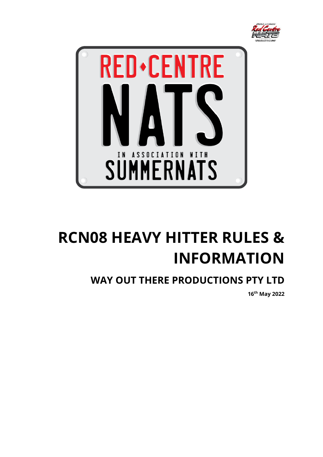



# **RCN08 HEAVY HITTER RULES & INFORMATION**

## **WAY OUT THERE PRODUCTIONS PTY LTD**

**16 th May 2022**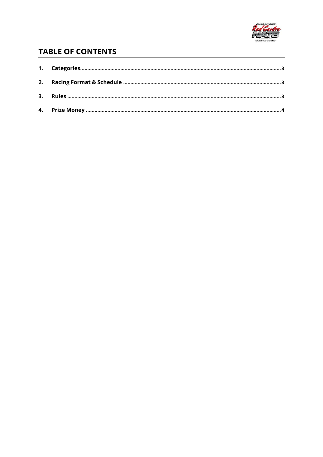

## **TABLE OF CONTENTS**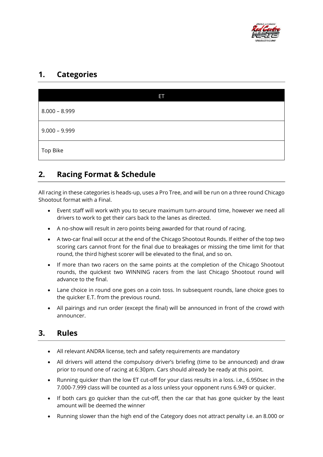

#### <span id="page-2-0"></span>**1. Categories**

| Ø               |  |
|-----------------|--|
| $8.000 - 8.999$ |  |
| $9.000 - 9.999$ |  |
| Top Bike        |  |

#### <span id="page-2-1"></span>**2. Racing Format & Schedule**

All racing in these categories is heads-up, uses a Pro Tree, and will be run on a three round Chicago Shootout format with a Final.

- Event staff will work with you to secure maximum turn-around time, however we need all drivers to work to get their cars back to the lanes as directed.
- A no-show will result in zero points being awarded for that round of racing.
- A two-car final will occur at the end of the Chicago Shootout Rounds. If either of the top two scoring cars cannot front for the final due to breakages or missing the time limit for that round, the third highest scorer will be elevated to the final, and so on.
- If more than two racers on the same points at the completion of the Chicago Shootout rounds, the quickest two WINNING racers from the last Chicago Shootout round will advance to the final.
- Lane choice in round one goes on a coin toss. In subsequent rounds, lane choice goes to the quicker E.T. from the previous round.
- All pairings and run order (except the final) will be announced in front of the crowd with announcer.

### <span id="page-2-2"></span>**3. Rules**

- All relevant ANDRA license, tech and safety requirements are mandatory
- All drivers will attend the compulsory driver's briefing (time to be announced) and draw prior to round one of racing at 6:30pm. Cars should already be ready at this point.
- Running quicker than the low ET cut-off for your class results in a loss. i.e., 6.950sec in the 7.000-7.999 class will be counted as a loss unless your opponent runs 6.949 or quicker.
- If both cars go quicker than the cut-off, then the car that has gone quicker by the least amount will be deemed the winner
- Running slower than the high end of the Category does not attract penalty i.e. an 8.000 or